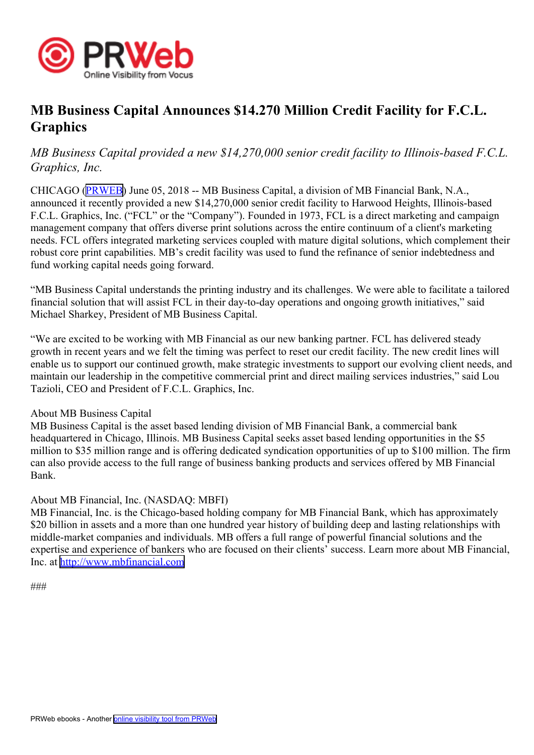

# **MB Business Capital Announces \$14.270 Million Credit Facility for F.C.L. Graphics**

## *MB Business Capital provided <sup>a</sup> new \$14,270,000 senior credit facility to Illinois-based F.C.L. Graphics, Inc.*

CHICAGO ([PRWEB](http://www.prweb.com)) June 05, 2018 -- MB Business Capital, <sup>a</sup> division of MB Financial Bank, N.A., announced it recently provided <sup>a</sup> new \$14,270,000 senior credit facility to Harwood Heights, Illinois-based F.C.L. Graphics, Inc. ("FCL" or the "Company"). Founded in 1973, FCL is <sup>a</sup> direct marketing and campaign managemen<sup>t</sup> company that offers diverse print solutions across the entire continuum of <sup>a</sup> client's marketing needs. FCL offers integrated marketing services coupled with mature digital solutions, which complement their robust core print capabilities. MB's credit facility was used to fund the refinance of senior indebtedness and fund working capital needs going forward.

"MB Business Capital understands the printing industry and its challenges. We were able to facilitate <sup>a</sup> tailored financial solution that will assist FCL in their day-to-day operations and ongoing growth initiatives," said Michael Sharkey, President of MB Business Capital.

"We are excited to be working with MB Financial as our new banking partner. FCL has delivered steady growth in recent years and we felt the timing was perfect to reset our credit facility. The new credit lines will enable us to suppor<sup>t</sup> our continued growth, make strategic investments to suppor<sup>t</sup> our evolving client needs, and maintain our leadership in the competitive commercial print and direct mailing services industries," said Lou Tazioli, CEO and President of F.C.L. Graphics, Inc.

### About MB Business Capital

MB Business Capital is the asset based lending division of MB Financial Bank, <sup>a</sup> commercial bank headquartered in Chicago, Illinois. MB Business Capital seeks asset based lending opportunities in the \$5 million to \$35 million range and is offering dedicated syndication opportunities of up to \$100 million. The firm can also provide access to the full range of business banking products and services offered by MB Financial Bank.

### About MB Financial, Inc. (NASDAQ: MBFI)

MB Financial, Inc. is the Chicago-based holding company for MB Financial Bank, which has approximately \$20 billion in assets and a more than one hundred year history of building deep and lasting relationships with middle-market companies and individuals. MB offers <sup>a</sup> full range of powerful financial solutions and the expertise and experience of bankers who are focused on their clients' success. Learn more about MB Financial, Inc. at <http://www.mbfinancial.com>

```
###
```